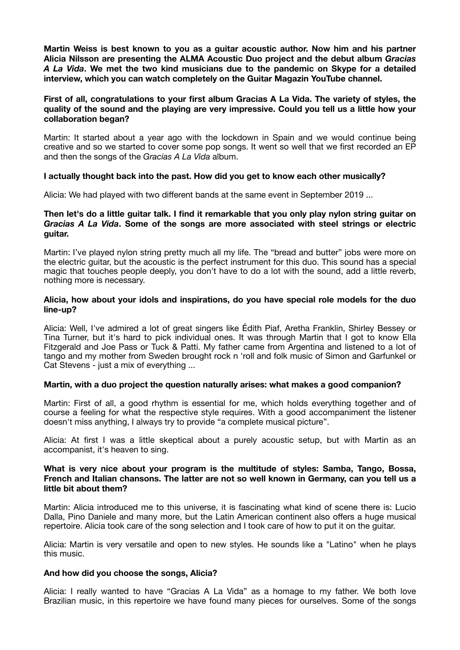**Martin Weiss is best known to you as a guitar acoustic author. Now him and his partner Alicia Nilsson are presenting the ALMA Acoustic Duo project and the debut album** *Gracias A La Vida***. We met the two kind musicians due to the pandemic on Skype for a detailed interview, which you can watch completely on the Guitar Magazin YouTube channel.** 

# **First of all, congratulations to your first album Gracias A La Vida. The variety of styles, the quality of the sound and the playing are very impressive. Could you tell us a little how your collaboration began?**

Martin: It started about a year ago with the lockdown in Spain and we would continue being creative and so we started to cover some pop songs. It went so well that we first recorded an EP and then the songs of the *Gracias A La Vida* album.

# **I actually thought back into the past. How did you get to know each other musically?**

Alicia: We had played with two different bands at the same event in September 2019 ...

### **Then let's do a little guitar talk. I find it remarkable that you only play nylon string guitar on**  *Gracias A La Vida***. Some of the songs are more associated with steel strings or electric guitar.**

Martin: I've played nylon string pretty much all my life. The "bread and butter" jobs were more on the electric guitar, but the acoustic is the perfect instrument for this duo. This sound has a special magic that touches people deeply, you don't have to do a lot with the sound, add a little reverb, nothing more is necessary.

# **Alicia, how about your idols and inspirations, do you have special role models for the duo line-up?**

Alicia: Well, I've admired a lot of great singers like Édith Piaf, Aretha Franklin, Shirley Bessey or Tina Turner, but it's hard to pick individual ones. It was through Martin that I got to know Ella Fitzgerald and Joe Pass or Tuck & Patti. My father came from Argentina and listened to a lot of tango and my mother from Sweden brought rock n 'roll and folk music of Simon and Garfunkel or Cat Stevens - just a mix of everything ...

#### **Martin, with a duo project the question naturally arises: what makes a good companion?**

Martin: First of all, a good rhythm is essential for me, which holds everything together and of course a feeling for what the respective style requires. With a good accompaniment the listener doesn't miss anything, I always try to provide "a complete musical picture".

Alicia: At first I was a little skeptical about a purely acoustic setup, but with Martin as an accompanist, it's heaven to sing.

## **What is very nice about your program is the multitude of styles: Samba, Tango, Bossa, French and Italian chansons. The latter are not so well known in Germany, can you tell us a little bit about them?**

Martin: Alicia introduced me to this universe, it is fascinating what kind of scene there is: Lucio Dalla, Pino Daniele and many more, but the Latin American continent also offers a huge musical repertoire. Alicia took care of the song selection and I took care of how to put it on the guitar.

Alicia: Martin is very versatile and open to new styles. He sounds like a "Latino" when he plays this music.

#### **And how did you choose the songs, Alicia?**

Alicia: I really wanted to have "Gracias A La Vida" as a homage to my father. We both love Brazilian music, in this repertoire we have found many pieces for ourselves. Some of the songs